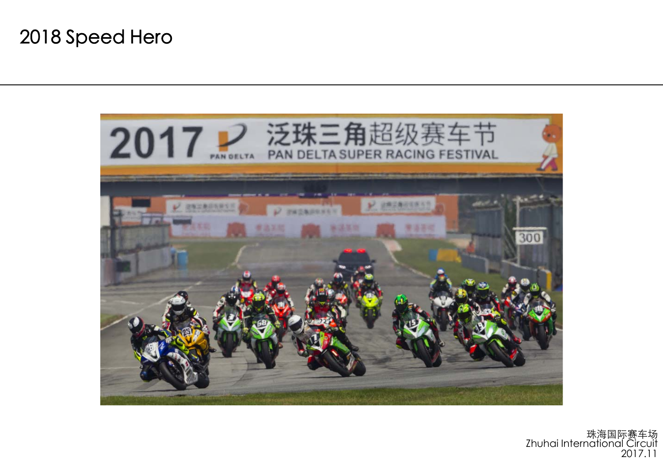

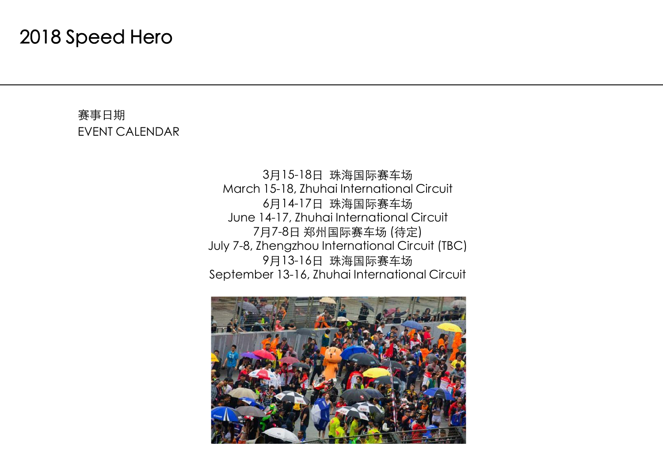#### 赛事日期 EVENT CALENDAR

3月15-18日 珠海国际赛车场 March 15-18, Zhuhai International Circuit 6月14-17日 珠海国际赛车场 June 14-17, Zhuhai International Circuit 7月7-8日 郑州国际赛车场 (待定) July 7-8, Zhengzhou International Circuit (TBC) 9月13-16日 珠海国际赛车场 September 13-16, Zhuhai International Circuit

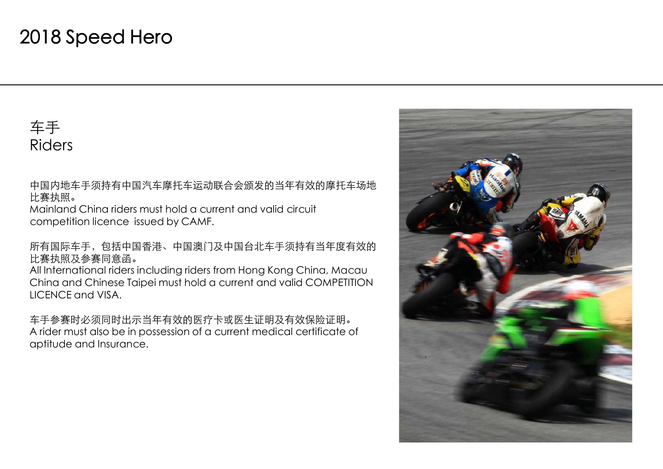车手 Riders

中国内地车手须持有中国汽车摩托车运动联合会颁发的当年有效的摩托车场地 比赛执照。

Mainland China riders must hold a current and valid circuit competition licence issued by CAMF.

所有国际车手,包括中国香港、中国澳门及中国台北车手须持有当年度有效的 比赛执照及参赛同意函。

All International riders including riders from Hong Kong China, Macau China and Chinese Taipei must hold a current and valid COMPETITION LICENCE and VISA.

车手参赛时必须同时出示当年有效的医疗卡或医生证明及有效保险证明。 A rider must also be in possession of a current medical certificate of aptitude and Insurance.

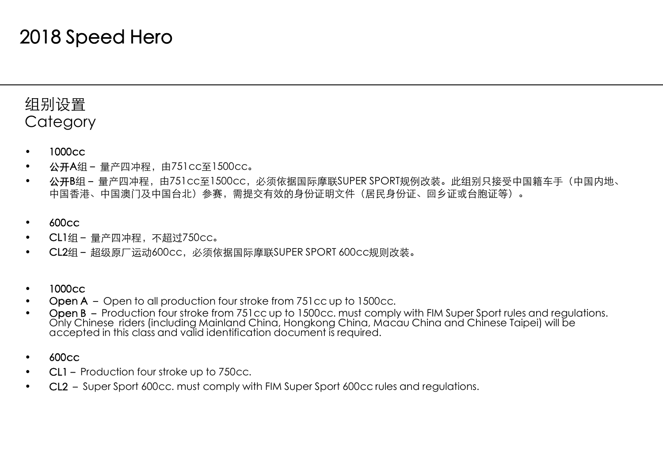#### 组别设置 **Category**

- •1000cc
- •公开A组– 量产四冲程,由751cc至1500cc。
- •公开B组-量产四冲程,由751cc至1500cc,必须依据国际摩联SUPER SPORT规例改装。此组别只接受中国籍车手(中国内地、 中国香港、中国澳门及中国台北)参赛,需提交有效的身份证明文件(居民身份证、回乡证或台胞证等)。
- •600cc
- •CL1组– 量产四冲程,不超过750cc。
- •CL2组– 超级原厂运动600cc,必须依据国际摩联SUPER SPORT 600cc规则改装。
- •1000cc
- •Open A – Open to all production four stroke from 751cc up to 1500cc.
- • Open B – Production four stroke from 751cc up to 1500cc. must comply with FIM Super Sport rules and regulations. Only Chinese riders (including Mainland China, Hongkong China, Macau China and Chinese Taipei) will be accepted in this class and valid identification document is required.
- •600cc
- •• CL1 – Production four stroke up to 750cc.
- •• CL2 – Super Sport 600cc. must comply with FIM Super Sport 600cc rules and regulations.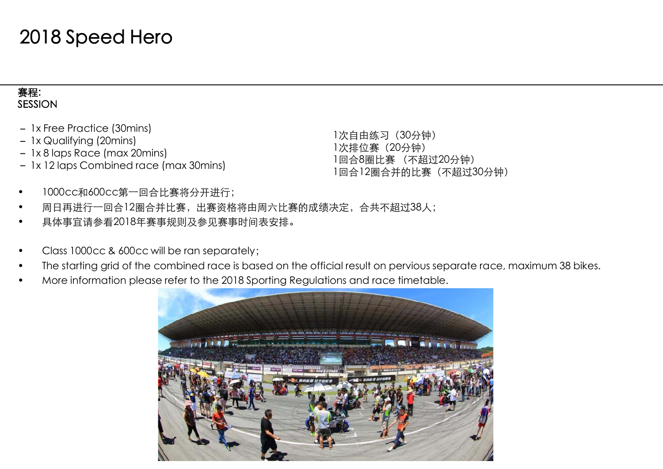#### 赛程: SESSION

- 1x Free Practice (30mins)
- 1x Qualifying (20mins)
- 1x 8 laps Race (max 20mins)
- 1x 12 laps Combined race (max 30mins)

1次自由练习(30分钟) 1次排位赛(20分钟) 1回合8圈比赛 (不超过20分钟) 1回合12圈合并的比赛(不超过30分钟)

- •1000cc和600cc第一回合比赛将分开进行;
- •周日再进行一回合12圈合并比赛,出赛资格将由周六比赛的成绩决定,合共不超过38人;
- •具体事宜请参看2018年赛事规则及参见赛事时间表安排。
- •Class 1000cc & 600cc will be ran separately;
- •The starting grid of the combined race is based on the official result on pervious separate race, maximum 38 bikes.
- •More information please refer to the 2018 Sporting Regulations and race timetable.